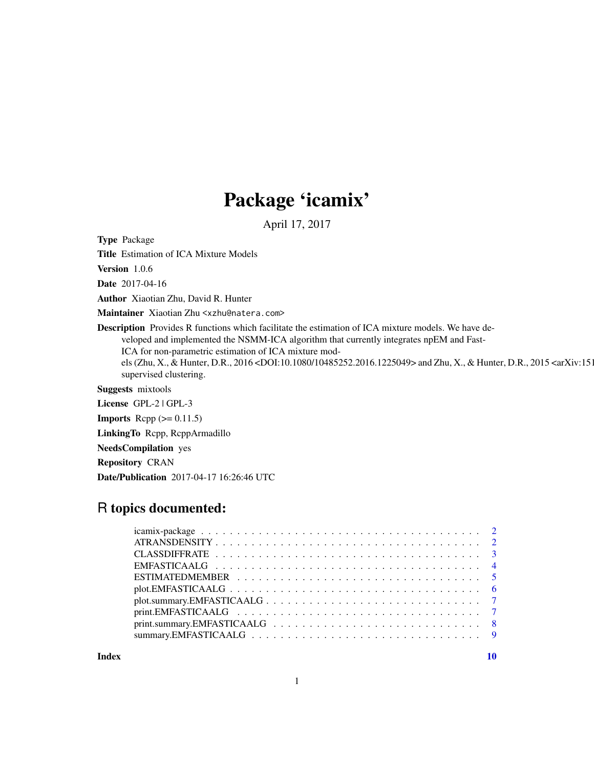## Package 'icamix'

April 17, 2017

<span id="page-0-0"></span>Type Package

Title Estimation of ICA Mixture Models

Version 1.0.6

Date 2017-04-16

Author Xiaotian Zhu, David R. Hunter

Maintainer Xiaotian Zhu <xzhu@natera.com>

Description Provides R functions which facilitate the estimation of ICA mixture models. We have developed and implemented the NSMM-ICA algorithm that currently integrates npEM and Fast-ICA for non-parametric estimation of ICA mixture models (Zhu, X., & Hunter, D.R., 2016 <DOI:10.1080/10485252.2016.1225049> and Zhu, X., & Hunter, D.R., 2015 <arXiv:151 supervised clustering.

Suggests mixtools

License GPL-2 | GPL-3

**Imports** Rcpp  $(>= 0.11.5)$ 

LinkingTo Rcpp, RcppArmadillo

NeedsCompilation yes

Repository CRAN

Date/Publication 2017-04-17 16:26:46 UTC

### R topics documented:

 $\blacksquare$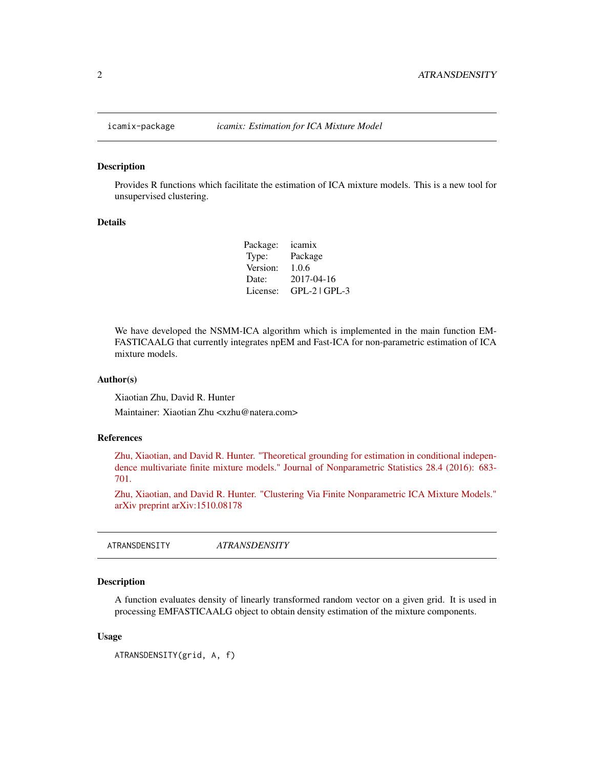<span id="page-1-0"></span>

#### Description

Provides R functions which facilitate the estimation of ICA mixture models. This is a new tool for unsupervised clustering.

#### Details

Package: icamix Type: Package Version: 1.0.6 Date: 2017-04-16 License: GPL-2 | GPL-3

We have developed the NSMM-ICA algorithm which is implemented in the main function EM-FASTICAALG that currently integrates npEM and Fast-ICA for non-parametric estimation of ICA mixture models.

#### Author(s)

Xiaotian Zhu, David R. Hunter

Maintainer: Xiaotian Zhu <xzhu@natera.com>

#### References

[Zhu, Xiaotian, and David R. Hunter. "Theoretical grounding for estimation in conditional indepen](http://www.tandfonline.com/doi/abs/10.1080/10485252.2016.1225049)[dence multivariate finite mixture models." Journal of Nonparametric Statistics 28.4 \(2016\): 683-](http://www.tandfonline.com/doi/abs/10.1080/10485252.2016.1225049) [701.](http://www.tandfonline.com/doi/abs/10.1080/10485252.2016.1225049)

[Zhu, Xiaotian, and David R. Hunter. "Clustering Via Finite Nonparametric ICA Mixture Models."](https://arxiv.org/abs/1510.08178) [arXiv preprint arXiv:1510.08178](https://arxiv.org/abs/1510.08178)

| <i><b>ATRANSDENSITY</b></i> |  |
|-----------------------------|--|
|-----------------------------|--|

#### Description

A function evaluates density of linearly transformed random vector on a given grid. It is used in processing EMFASTICAALG object to obtain density estimation of the mixture components.

#### Usage

```
ATRANSDENSITY(grid, A, f)
```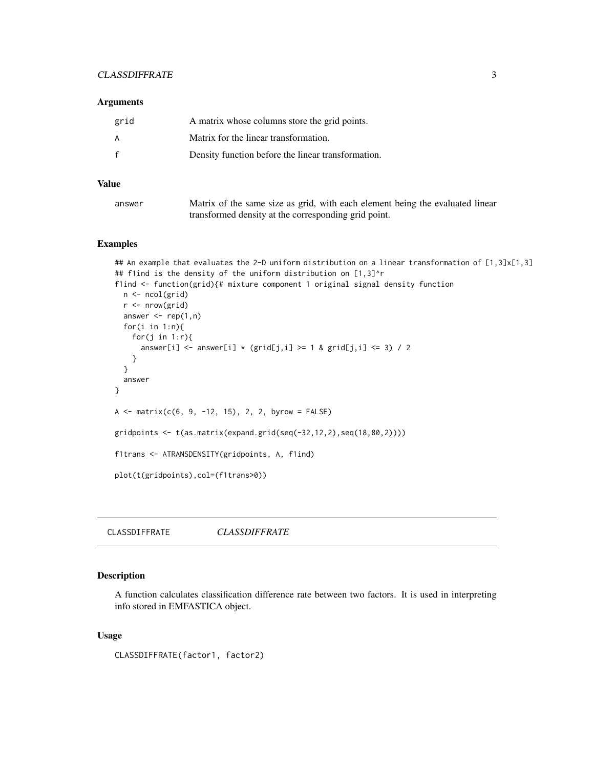#### <span id="page-2-0"></span>CLASSDIFFRATE 3

#### Arguments

| grid | A matrix whose columns store the grid points.      |
|------|----------------------------------------------------|
| A    | Matrix for the linear transformation.              |
|      | Density function before the linear transformation. |

#### Value

| answer | Matrix of the same size as grid, with each element being the evaluated linear |
|--------|-------------------------------------------------------------------------------|
|        | transformed density at the corresponding grid point.                          |

#### Examples

```
## An example that evaluates the 2-D uniform distribution on a linear transformation of [1,3]x[1,3]
## flind is the density of the uniform distribution on [1,3]^r
f1ind <- function(grid){# mixture component 1 original signal density function
 n <- ncol(grid)
  r <- nrow(grid)
  answer \leq rep(1,n)
  for(i in 1:n){
   for(j in 1:r)\{answer[i] <- answer[i] * (grid[j,i] >= 1 & grid[j,i] <= 3) / 2
   }
  }
  answer
}
A \leq matrix(c(6, 9, -12, 15), 2, 2, byrow = FALSE)
gridpoints \leq t (as.matrix(expand.grid(seq(-32,12,2),seq(18,80,2))))
f1trans <- ATRANSDENSITY(gridpoints, A, f1ind)
plot(t(gridpoints),col=(f1trans>0))
```
CLASSDIFFRATE *CLASSDIFFRATE*

#### Description

A function calculates classification difference rate between two factors. It is used in interpreting info stored in EMFASTICA object.

#### Usage

CLASSDIFFRATE(factor1, factor2)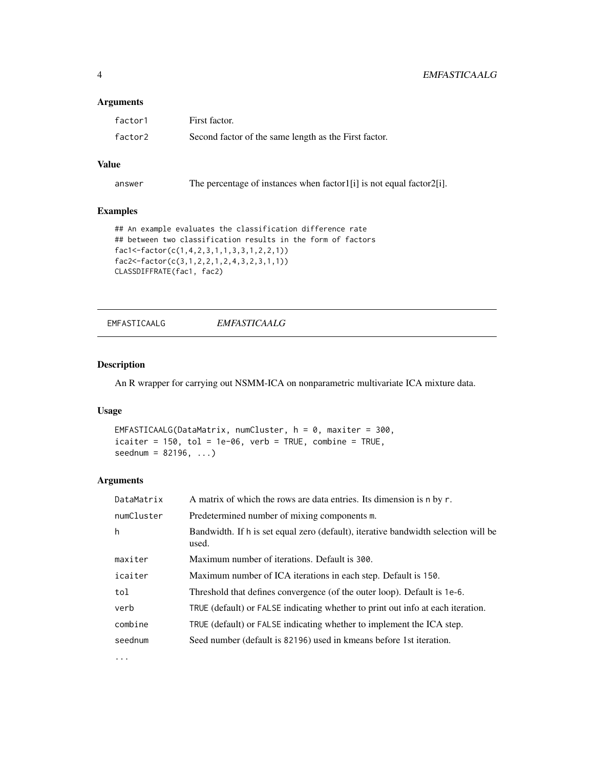#### <span id="page-3-0"></span>4 EMFASTICAALG

#### Arguments

| factor1 | First factor.                                         |
|---------|-------------------------------------------------------|
| factor2 | Second factor of the same length as the First factor. |

#### Value

answer The percentage of instances when factor1[i] is not equal factor2[i].

#### Examples

```
## An example evaluates the classification difference rate
## between two classification results in the form of factors
fac1<-factor(c(1,4,2,3,1,1,3,3,1,2,2,1))
fac2<-factor(c(3,1,2,2,1,2,4,3,2,3,1,1))
CLASSDIFFRATE(fac1, fac2)
```
EMFASTICAALG *EMFASTICAALG*

#### Description

An R wrapper for carrying out NSMM-ICA on nonparametric multivariate ICA mixture data.

#### Usage

```
EMFASTICAALG(DataMatrix, numCluster, h = 0, maxiter = 300,
icaiter = 150, tol = 1e-06, verb = TRUE, combine = TRUE,
seednum = 82196, ...
```
#### Arguments

| DataMatrix | A matrix of which the rows are data entries. Its dimension is n by r.                       |
|------------|---------------------------------------------------------------------------------------------|
| numCluster | Predetermined number of mixing components m.                                                |
| h          | Bandwidth. If h is set equal zero (default), iterative bandwidth selection will be<br>used. |
| maxiter    | Maximum number of iterations. Default is 300.                                               |
| icaiter    | Maximum number of ICA iterations in each step. Default is 150.                              |
| tol        | Threshold that defines convergence (of the outer loop). Default is 1e-6.                    |
| verb       | TRUE (default) or FALSE indicating whether to print out info at each iteration.             |
| combine    | TRUE (default) or FALSE indicating whether to implement the ICA step.                       |
| seednum    | Seed number (default is 82196) used in kmeans before 1st iteration.                         |
| $\cdots$   |                                                                                             |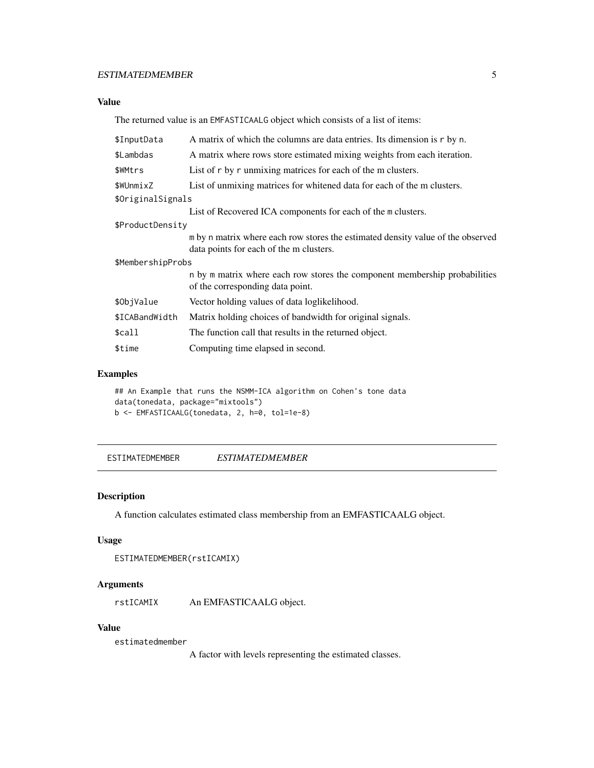#### <span id="page-4-0"></span>ESTIMATEDMEMBER 5

#### Value

The returned value is an EMFASTICAALG object which consists of a list of items:

| A matrix of which the columns are data entries. Its dimension is r by n.                                       |  |  |
|----------------------------------------------------------------------------------------------------------------|--|--|
| A matrix where rows store estimated mixing weights from each iteration.                                        |  |  |
| List of r by r unmixing matrices for each of the m clusters.                                                   |  |  |
| List of unmixing matrices for whitened data for each of the m clusters.                                        |  |  |
| \$OriginalSignals                                                                                              |  |  |
| List of Recovered ICA components for each of the m clusters.                                                   |  |  |
| \$ProductDensity                                                                                               |  |  |
| m by n matrix where each row stores the estimated density value of the observed                                |  |  |
| data points for each of the m clusters.                                                                        |  |  |
| \$MembershipProbs                                                                                              |  |  |
| n by m matrix where each row stores the component membership probabilities<br>of the corresponding data point. |  |  |
| Vector holding values of data loglikelihood.                                                                   |  |  |
| Matrix holding choices of bandwidth for original signals.                                                      |  |  |
| The function call that results in the returned object.                                                         |  |  |
| Computing time elapsed in second.                                                                              |  |  |
|                                                                                                                |  |  |

#### Examples

## An Example that runs the NSMM-ICA algorithm on Cohen's tone data data(tonedata, package="mixtools") b <- EMFASTICAALG(tonedata, 2, h=0, tol=1e-8)

ESTIMATEDMEMBER *ESTIMATEDMEMBER*

#### Description

A function calculates estimated class membership from an EMFASTICAALG object.

#### Usage

```
ESTIMATEDMEMBER(rstICAMIX)
```
#### Arguments

rstICAMIX An EMFASTICAALG object.

#### Value

estimatedmember

A factor with levels representing the estimated classes.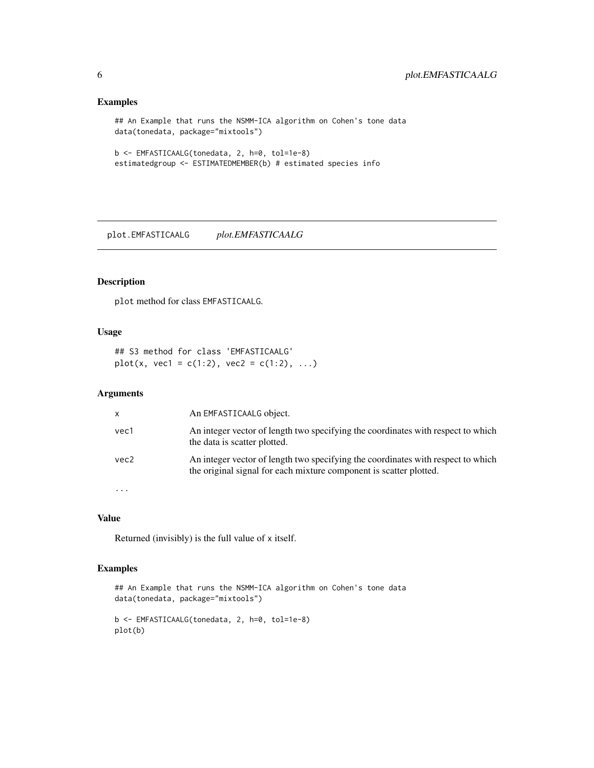#### Examples

```
## An Example that runs the NSMM-ICA algorithm on Cohen's tone data
data(tonedata, package="mixtools")
```

```
b <- EMFASTICAALG(tonedata, 2, h=0, tol=1e-8)
estimatedgroup <- ESTIMATEDMEMBER(b) # estimated species info
```
plot.EMFASTICAALG *plot.EMFASTICAALG*

#### Description

plot method for class EMFASTICAALG.

#### Usage

## S3 method for class 'EMFASTICAALG' plot(x, vec1 = c(1:2), vec2 = c(1:2), ...)

#### Arguments

| x        | An EMFASTICAALG object.                                                                                                                                |
|----------|--------------------------------------------------------------------------------------------------------------------------------------------------------|
| vec1     | An integer vector of length two specifying the coordinates with respect to which<br>the data is scatter plotted.                                       |
| vec2     | An integer vector of length two specifying the coordinates with respect to which<br>the original signal for each mixture component is scatter plotted. |
| $\cdots$ |                                                                                                                                                        |

#### Value

Returned (invisibly) is the full value of x itself.

#### Examples

```
## An Example that runs the NSMM-ICA algorithm on Cohen's tone data
data(tonedata, package="mixtools")
b <- EMFASTICAALG(tonedata, 2, h=0, tol=1e-8)
plot(b)
```
<span id="page-5-0"></span>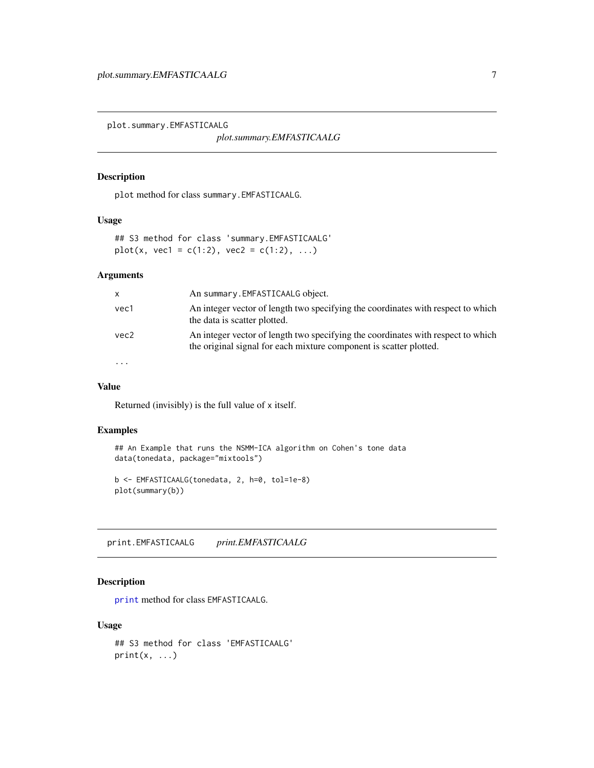<span id="page-6-0"></span>plot.summary.EMFASTICAALG

*plot.summary.EMFASTICAALG*

#### Description

plot method for class summary.EMFASTICAALG.

#### Usage

## S3 method for class 'summary.EMFASTICAALG' plot(x, vec1 = c(1:2), vec2 = c(1:2), ...)

#### Arguments

| x         | An summary. EMFASTICAALG object.                                                                                                                       |
|-----------|--------------------------------------------------------------------------------------------------------------------------------------------------------|
| vec1      | An integer vector of length two specifying the coordinates with respect to which<br>the data is scatter plotted.                                       |
| vec2      | An integer vector of length two specifying the coordinates with respect to which<br>the original signal for each mixture component is scatter plotted. |
| $\ddotsc$ |                                                                                                                                                        |

#### Value

Returned (invisibly) is the full value of x itself.

#### Examples

```
## An Example that runs the NSMM-ICA algorithm on Cohen's tone data
data(tonedata, package="mixtools")
```

```
b <- EMFASTICAALG(tonedata, 2, h=0, tol=1e-8)
plot(summary(b))
```
print.EMFASTICAALG *print.EMFASTICAALG*

#### Description

[print](#page-0-0) method for class EMFASTICAALG.

#### Usage

```
## S3 method for class 'EMFASTICAALG'
print(x, \ldots)
```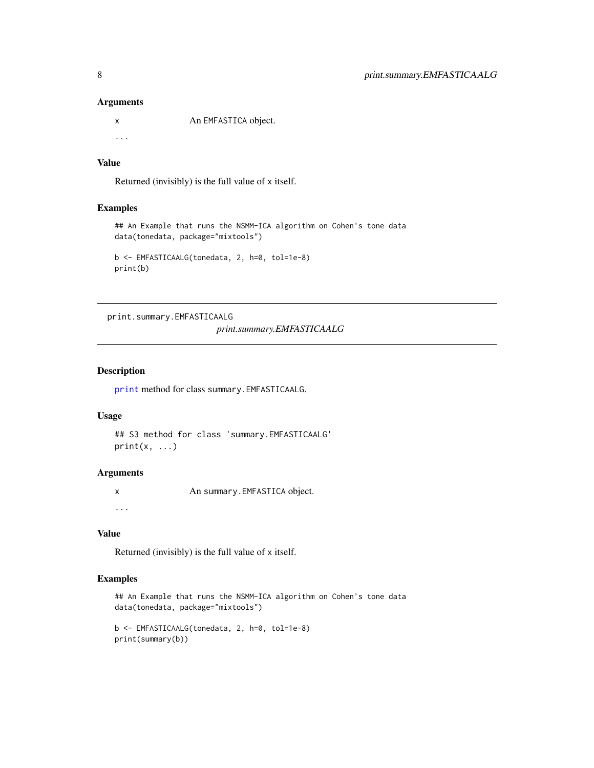#### Arguments

x An EMFASTICA object. ...

#### Value

Returned (invisibly) is the full value of x itself.

#### Examples

```
## An Example that runs the NSMM-ICA algorithm on Cohen's tone data
data(tonedata, package="mixtools")
```

```
b <- EMFASTICAALG(tonedata, 2, h=0, tol=1e-8)
print(b)
```
print.summary.EMFASTICAALG

*print.summary.EMFASTICAALG*

#### Description

[print](#page-0-0) method for class summary.EMFASTICAALG.

#### Usage

```
## S3 method for class 'summary.EMFASTICAALG'
print(x, \ldots)
```
#### Arguments

x An summary.EMFASTICA object.

...

#### Value

Returned (invisibly) is the full value of x itself.

#### Examples

```
## An Example that runs the NSMM-ICA algorithm on Cohen's tone data
data(tonedata, package="mixtools")
```

```
b <- EMFASTICAALG(tonedata, 2, h=0, tol=1e-8)
print(summary(b))
```
<span id="page-7-0"></span>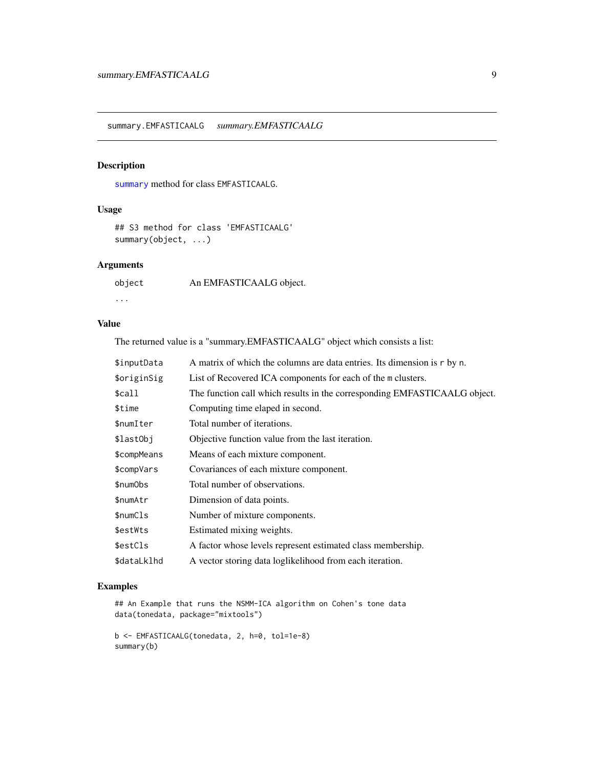<span id="page-8-0"></span>summary.EMFASTICAALG *summary.EMFASTICAALG*

#### Description

[summary](#page-0-0) method for class EMFASTICAALG.

#### Usage

```
## S3 method for class 'EMFASTICAALG'
summary(object, ...)
```
#### Arguments

| object | An EMFASTICAALG object. |
|--------|-------------------------|
| .      |                         |

#### Value

The returned value is a "summary.EMFASTICAALG" object which consists a list:

| \$inputData | A matrix of which the columns are data entries. Its dimension is r by n.  |
|-------------|---------------------------------------------------------------------------|
| \$originSig | List of Recovered ICA components for each of the m clusters.              |
| \$call      | The function call which results in the corresponding EMFASTICAALG object. |
| \$time      | Computing time elaped in second.                                          |
| \$numIter   | Total number of iterations.                                               |
| \$lastObj   | Objective function value from the last iteration.                         |
| \$compMeans | Means of each mixture component.                                          |
| \$compVars  | Covariances of each mixture component.                                    |
| \$numObs    | Total number of observations.                                             |
| \$numAtr    | Dimension of data points.                                                 |
| \$numCls    | Number of mixture components.                                             |
| \$estWts    | Estimated mixing weights.                                                 |
| \$estCls    | A factor whose levels represent estimated class membership.               |
| \$dataLklhd | A vector storing data loglikelihood from each iteration.                  |

#### Examples

```
## An Example that runs the NSMM-ICA algorithm on Cohen's tone data
data(tonedata, package="mixtools")
```

```
b <- EMFASTICAALG(tonedata, 2, h=0, tol=1e-8)
summary(b)
```